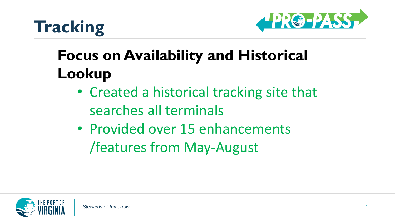



## **Focus on Availability and Historical Lookup**

- Created a historical tracking site that searches all terminals
- Provided over 15 enhancements /features from May-August

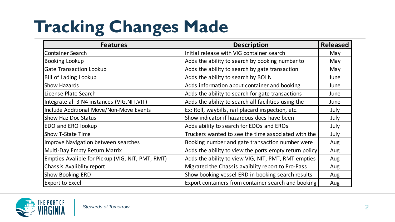## **Tracking Changes Made**

| <b>Features</b>                                  | <b>Description</b>                                     | <b>Released</b> |
|--------------------------------------------------|--------------------------------------------------------|-----------------|
| <b>Container Search</b>                          | Initial release with VIG container search              | May             |
| Booking Lookup                                   | Adds the ability to search by booking number to        | May             |
| Gate Transaction Lookup                          | Adds the ability to search by gate transaction         | May             |
| <b>Bill of Lading Lookup</b>                     | Adds the ability to search by BOLN                     | June            |
| <b>Show Hazards</b>                              | Adds information about container and booking           | June            |
| License Plate Search                             | Adds the ability to search for gate transactions       | June            |
| Integrate all 3 N4 instances (VIG,NIT,VIT)       | Adds the ability to search all facilities using the    | June            |
| Include Additional Move/Non-Move Events          | Ex: Roll, waybills, rail placard inspection, etc.      | July            |
| Show Haz Doc Status                              | Show indicator if hazardous docs have been             | July            |
| EDO and ERO lookup                               | Adds ability to search for EDOs and EROs               | July            |
| Show T-State Time                                | Truckers wanted to see the time associated with the    | July            |
| <b>Improve Navigation between searches</b>       | Booking number and gate transaction number were        | Aug             |
| Multi-Day Empty Return Matrix                    | Adds the ability to view the ports empty return policy | Aug             |
| Empties Avalible for Pickup (VIG, NIT, PMT, RMT) | Adds the ability to view VIG, NIT, PMT, RMT empties    | Aug             |
| Chassis Avaliblity report                        | Migrated the Chassis avaiblity report to Pro-Pass      | Aug             |
| Show Booking ERD                                 | Show booking vessel ERD in booking search results      | Aug             |
| <b>Export to Excel</b>                           | Export containers from container search and booking    | Aug             |